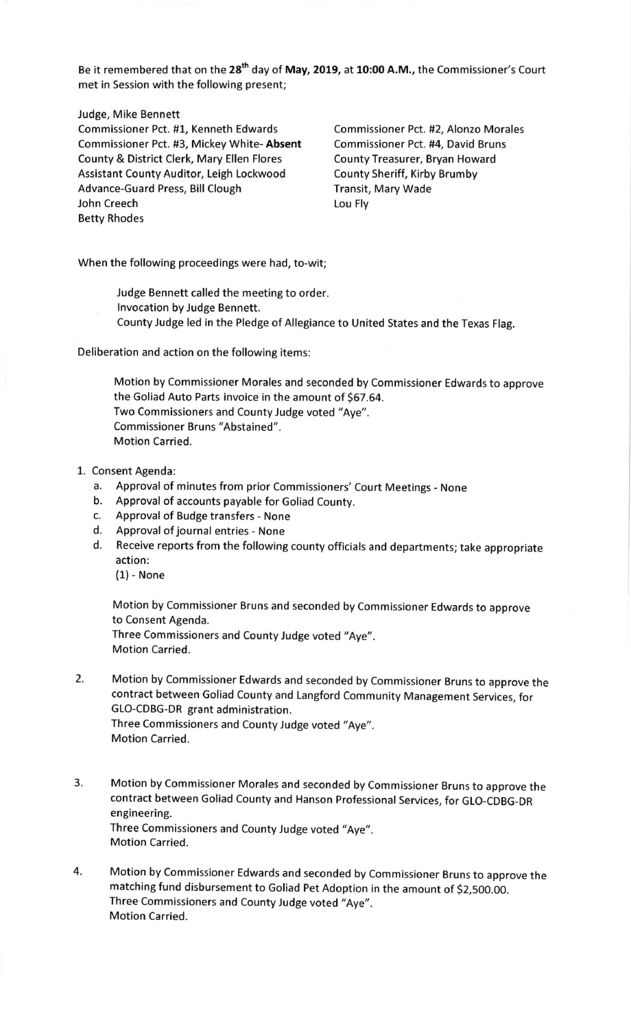Be it remembered that on the 28<sup>th</sup> day of May, 2019, at 10:00 A.M., the Commissioner's Court met in Session with the following present;

Judge, Mike Bennett

Commissioner Pct. #1, Kenneth Edwards Commissioner Pct. #2, Alonzo Morales Commissioner Pct. #3, Mickey White- Absent Commissioner Pct. #4, David Bruns County & District Clerk, Mary Ellen Flores County Treasurer, Bryan Howard Assistant County Auditor, Leigh Lockwood County Sheriff, Kirby Brumby Advance-Guard Press, Bill Clough Transit, Mary Wade John Creech **Louise Communist Communist Communist Communist Communist Communist Communist Communist Communist Communist Communist Communist Communist Communist Communist Communist Communist Communist Communist Communist Co** Betty Rhodes

When the following proceedings were had, to-wit;

- Judge Bennett called the meeting to order. lnvocation by Judge Bennett.
- County Judge led in the Pledge of Allegiance to United States and the Texas Flag.

Deliberation and action on the following items:

Motion by Commissioner Morales and seconded by Commissioner Edwards to approve the Goliad Auto Parts invoice in the amount of \$67.64. Two Commissioners and County Judge voted "Aye". Commissioner Bruns "Abstained". Motion Carried.

- 1. Consent Agenda:
	- a. Approval of minutes from prior Commissioners' Court Meetings None b. Approval of accounts payable for Goliad County.
	-
	- c. Approval of Budge transfers None
	- d. Approval of journal entries None
	- d. Receive reports from the following county officials and departments; take appropriate action:

(1) - None

Motion by Commissioner Bruns and seconded by commissioner Edwards to approve to Consent Agenda. Three Commissioners and County Judge voted "Aye',. Motion Carried.

- 2. Motion by commissioner Edwards and seconded by commissioner Bruns to approve the contract between Goliad county and Langford community Management services, for GLO-CDBG-DR grant administration. Three Commissioners and County Judge voted "Aye". Motion Carried.
- 3. Motion by commissioner Morales and seconded by commissioner Bruns to approve the contract between Goliad county and Hanson professional services, for GLo-cDBG-DR engineering. Three Commissioners and County Judge voted "Aye". Motion Carried.
- 4. Motion by commissioner Edwards and seconded by commissioner Bruns to approve the matching fund disbursement to Goliad Pet Adoption in the amount of \$2,500.00. Three Commissioners and County Judge voted "Aye". Motion Carried.